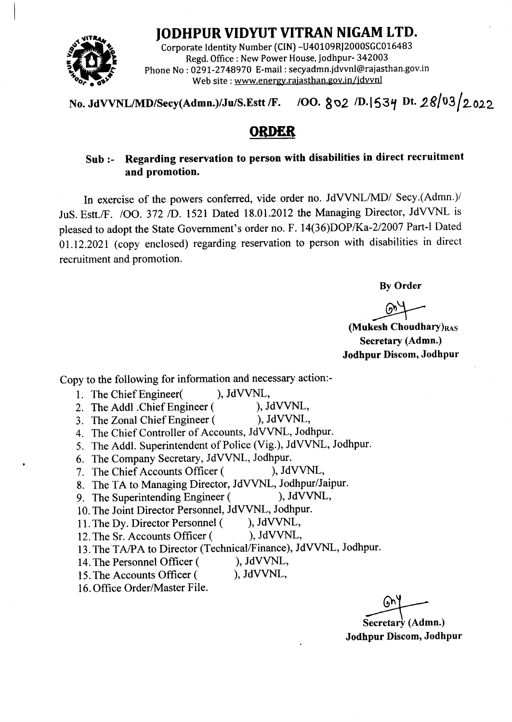

**FFRAM LTD.**<br>
Corporate Identity Number (CIN) -U40109RJ2000SGC016483<br>
Regd. Office : New Power House, Jodhpur- 342003<br>
Phone No : 0291-2748970 E-mail : secyadmn.jdvvnl@rajasthan.gov<br>
Web site : www.energy.rajasthan.gov.in Corporate Identity Number (CIN) -U40109RJ2000SGC016483 Regd. Office : New Power House, Jodhpur- 342003 Phone No : 0291-2748970 E-mail : secyadmn.jdvvnl@rajasthan.gov.i Web site : www.energy.rajasthan.gov.in/jdvvnl

No. JdVVNL/MD/Secy(Admn.)/Ju/S.Estt /F. 100.  $802$  /D.1534 Dt. 28/03/2022

# **ORDER**

# Sub :- Regarding reservation to person with disabilities in direct recruitment and promotion.

In exercise of the powers conferred, vide order no. JdVVNL/MD/ Secy.(Admn.)/ JuS. Estt./F. /OO. 372 /D. 1521 Dated 18.01.2012 the Managing Director, JdVVNL is pleased to adopt the State Government's order no. F. 14(36)DOP/Ka-2/2007 Part-I Dated 01.12.2021 (copy enclosed) regarding reservation to person with disabilities in direct recruitment and promotion.

By Order

 $\circlearrowright$ 

(Mukesh Choudhary) $_{RAS}$ Secretary (Admn.) Jodhpur Discom, Jodhpur

Copy to the following for information and necessary action:-

- 
- 1. The Chief Engineer(
1. The Addl Chief Engineer (
1. JdVVNL,
2. The Addl Chief Engineer (
1. JdVVNL, 2. The Addl .Chief Engineer (
), JdVVNL,<br>
3 The Zonal Chief Engineer (
), JdVVNL,
- 3. The Zonal Chief Engineer (
- 4. The Chief Controller of Accounts, JdVVNL, Jodhpur.
- 5. The Addl. Superintendent of Police (Vig.), JdVVNL, Jodhpur'
- 
- 6. The Company Secretary, JdVVNL, Jodhpur.<br>7. The Chief Accounts Officer ( ), JdVVNL, 7. The Chief Accounts Officer (
- 8. The TA to Managing Director, JdVVNL, Jodhpur/Jaipur.<br>9. The Superintending Engineer (), JdVVNL,
- 9. The Superintending Engineer (
- 10. The Joint Director Personnel, JdVVNL, Jodhpur.
- 11. The Dy. Director Personnel (), JdVVNL,<br>12. The Sr. Accounts Officer (), JdVVNL,
- 12. The Sr. Accounts Officer (
- 13. The'TA/PA to Director (Technical/Finance), JdvvNL, Jodhpur.
- 14. The Personnel Officer (
), JdVVNL,<br>
15. The Accounts Officer (
), JdVVNL,
- 15. The Accounts Officer (
- 16. Office Order/Master File.

 $\odot$ 

Secretary (Admn.) Jodhpur Discom, Jodhpur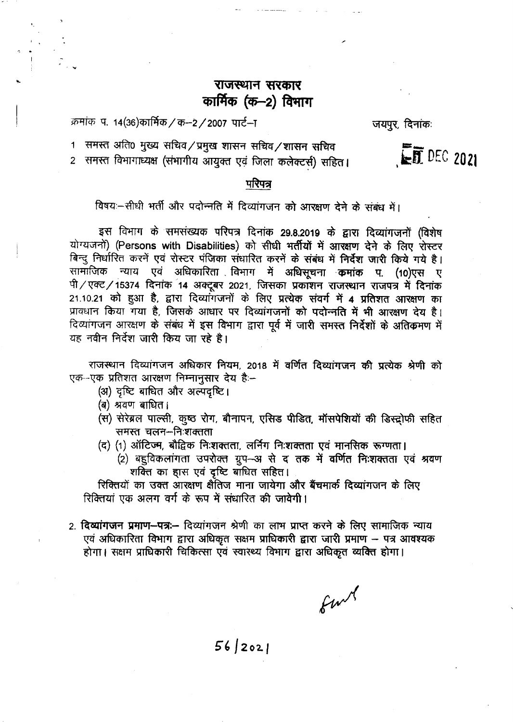# राजस्थान सरकार कार्मिक (क-2) विभाग

क्रमांक प. 14(36)कार्मिक / क-2 / 2007 पार्ट-ा

जयपूर, दिनांकः

 $ET$  DEC 2021

समस्त अति0 मुख्य सचिव/प्रमुख शासन सचिव/शासन सचिव  $\mathbf 1$ 2 समस्त विभागाध्यक्ष (संभागीय आयुक्त एवं जिला कलेक्टर्स) सहित।

## परिपत्र

विषय:-सीधी भर्ती और पदोन्नति में दिव्यांगजन को आरक्षण देने के संबंध में।

इस विभाग के समसंख्यक परिपत्र दिनांक 29.8.2019 के द्वारा दिव्यांगजनों (विशेष योग्यजनों) (Persons with Disabilities) को सीधी भर्तीयों में आरक्षण देने के लिए रोस्टर बिन्दु निर्धारित करनें एवं रोस्टर पंजिका संधारित करनें के संबंध में निर्देश जारी किये गये है। सामाजिक न्याय एवं अधिकारिता विभाग में अधिसूचना कमांक प. (10)एस ए पी/एक्ट/15374 दिनांक 14 अक्टूबर 2021, जिसका प्रकाशन राजस्थान राजपत्र में दिनांक 21.10.21 को हुआ है, द्वारा दिव्यांगजनों के लिए प्रत्येक संवर्ग में 4 प्रतिशत आरक्षण का प्रावधान किया गया है, जिसके आधार पर दिव्यांगजनों को पदोन्नति में भी आरक्षण देय है। दिव्यांगजन आरक्षण के संबंध में इस विभाग द्वारा पूर्व में जारी समस्त निर्देशों के अतिक्रमण में यह नवीन निर्देश जारी किय जा रहे है।

राजस्थान दिव्यांगजन अधिकार नियम, 2018 में वर्णित दिव्यांगजन की प्रत्येक श्रेणी को एक-एक प्रतिशत आरक्षण निम्नानुसार देय है:-

- (अ) दृष्टि बाधित और अल्पदृष्टि।
- (ब) श्रवण बाधित।
- (स) सेरेब्रल पाल्सी, कुष्ठ रोग, बौनापन, एसिड पीडित, मॉसपेशियों की डिस्ट्रोफी सहित समस्त चलन-निःशक्तता
- (द) (1) ऑटिज्म, बौद्विक निःशक्तता, लर्निग निःशक्तता एवं मानसिक रूग्णता।
	- (2) बहुविकलांगता उपरोक्त ग्रुप-अ से द तक में वर्णित निःशक्तता एवं श्रवण शक्ति का हास एवं दृष्टि बाधित सहित।

रिक्तियों का उक्त आरक्षण क्षैतिज माना जायेगा और बैंचमार्क दिव्यांगजन के लिए रिक्तियां एक अलग वर्ग के रूप में संधारित की जावेगी।

2. दिव्यांगजन प्रमाण-पत्रः- दिव्यांगजन श्रेणी का लाभ प्राप्त करने के लिए सामाजिक न्याय एवं अधिकारिता विभाग द्वारा अधिकृत सक्षम प्राधिकारी द्वारा जारी प्रमाण – पत्र आवश्यक होगा। सक्षम प्राधिकारी चिकित्सा एवं स्वास्थ्य विभाग द्वारा अधिकृत व्यक्ति होगा।

furt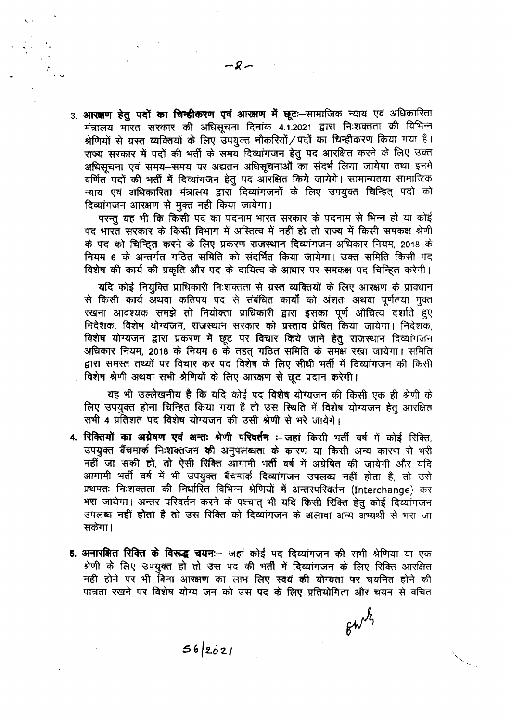3. आरक्षण हेतु पदों का चिन्हीकरण एवं आरक्षण में छूट:--सामाजिक न्याय एवं अधिकारिता मंत्रालय भारत सरकार की अधिसूचना दिनांक 4.1.2021 द्वारा निःशक्तता की विभिन्न श्रेणियों से ग्रस्त व्यक्तियों के लिए उपयुक्त नौकरियों / पदों का चिन्हीकरण किया गया है। राज्य सरकार में पदों की भर्ती के समय दिव्यांगजन हेतु पद आरक्षित करने के लिए उक्त अधिसूचना एवं समय-समय पर अद्यतन अधिसूचनाओं का संदर्भ लिया जायेगा तथा इनमें वर्णित पदों की भर्ती में दिव्यांगजन हेतू पद आरक्षित किये जायेगे। सामान्यतया सामाजिक न्याय एवं अधिकारिता मंत्रालय द्वारा दिव्यांगजनों के लिए उपयुक्त चिन्हित् पदों को दिव्यांगजन आरक्षण से मुक्त नही किया जायेगा।

परन्तु यह भी कि किसी पद का पदनाम भारत सरकार के पदनाम से भिन्न हो या कोई पद भारत सरकार के किसी विभाग में अस्तित्व में नहीं हो तो राज्य में किसी समकक्ष श्रेणी के पद को चिन्हित करने के लिए प्रकरण राजस्थान दिव्यांगजन अधिकार नियम, 2018 के नियम 6 के अन्तर्गत गठित समिति को संदर्भित किया जायेगा। उक्त समिति किसी पद विशेष की कार्य की प्रकृति और पद के दायित्व के आधार पर समकक्ष पद चिन्हित करेगी।

यदि कोई नियुक्ति प्राधिकारी निःशक्तता से ग्रस्त व्यक्तियों के लिए आरक्षण के प्रावधान से किसी कार्य अथवा कतिपय पद से संबंधित कार्यों को अंशतः अथवा पूर्णतया मुक्त रखना आवश्यक समझे तो नियोक्ता प्राधिकारी द्वारा इसका पूर्ण औचित्य दर्शाते हुए निदेशक, विशेष योग्यजन, राजस्थान सरकार को प्रस्ताव प्रेषित किया जायेगा। निदेशक, विशेष योग्यजन द्वारा प्रकरण में छूट पर विचार किये जाने हेतू राजस्थान दिव्यांगजन अधिकार नियम, 2018 के नियम 6 के तहत गठित समिति के समक्ष रखा जायेगा। समिति द्वारा समस्त तथ्यों पर विचार कर पद विशेष के लिए सीधी भर्ती में दिव्यांगजन की किसी विशेष श्रेणी अथवा सभी श्रेणियों के लिए आरक्षण से छूट प्रदान करेगी।

यह भी उल्लेखनीय है कि यदि कोई पद विशेष योग्यजन की किसी एक ही श्रेणी के लिए उपयुक्त होना चिन्हित किया गया है तो उस स्थिति में विशेष योग्यजन हेतु आरक्षित सभी 4 प्रतिशत पद विशेष योग्यजन की उसी श्रेणी से भरे जायेगे।

- 4. रिक्तियों का अग्रेषण एवं अन्त: श्रेणी परिवर्तन :--जहां किसी भर्ती वर्ष में कोई रिक्ति, उपयुक्त बैंचमार्क निःशक्तजन की अनुपलब्धता के कारण या किसी अन्य कारण से भरी नहीं जा सकी हो, तो ऐसी रिक्ति आगामी भर्ती वर्ष में अग्रेषित की जायेगी और यदि आगामी भर्ती वर्ष में भी उपयुक्त बैंचमार्क दिव्यांगजन उपलब्ध नहीं होता है, तो उसे प्रथमतः निःशक्तता की निर्धारित विभिन्न श्रेणियों में अन्तरपरिवर्तन (Interchange) कर भरा जायेगा। अन्तर परिवर्तन करने के पश्चात् भी यदि किसी रिक्ति हेतु कोई दिव्यांगजन उपलब्ध नहीं होता है तो उस रिक्ति को दिव्यांगजन के अलावा अन्य अभ्यर्थी से भरा जा सकेगा ।
- 5. अनारक्षित रिक्ति के विरूद्ध चयन:-- जहां कोई पद दिव्यांगजन की सभी श्रेणिया या एक श्रेणी के लिए उपयुक्त हो तो उस पद की भर्ती में दिव्यांगजन के लिए रिक्ति आरक्षित नही होने पर भी बिना आरक्षण का लाभ लिए स्वयं की योग्यता पर चयनित होने की पात्रता रखने पर विशेष योग्य जन को उस पद के लिए प्रतियोगिता और चयन से वचित

 $640\frac{12}{12}$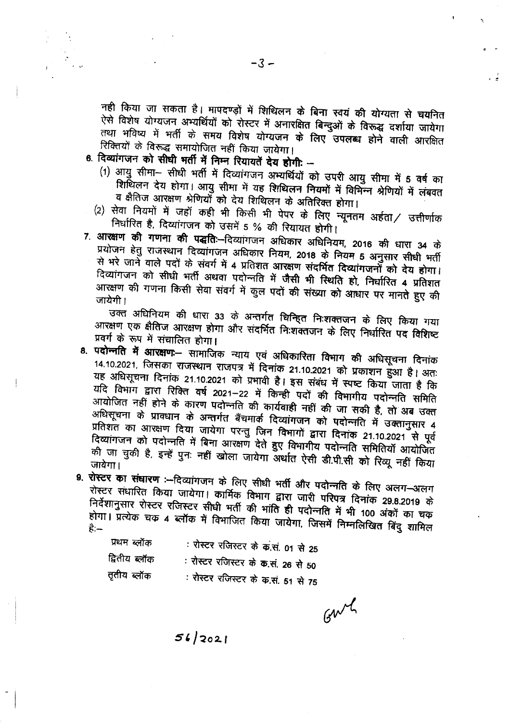नही किया जा सकता है। मापदण्ड़ों में शिथिलन के बिना स्वयं की योग्यता से चयनित ऐसे विशेष योग्यजन अभ्यर्थियों को रोस्टर में अनारक्षित बिन्दुओं के विरूद्ध दर्शाया जायेगा तथा भविष्य में भर्ती के समय विशेष योग्यजन के लिए उपलब्ध होने वाली आरक्षित रिक्तियों के विरूद्ध समायोजित नहीं किया जायेगा।

- 6. दिव्यांगजन को सीघी भर्ती में निम्न रियायतें देय होगी: -
	- (1) आयु सीमा- सीधी भर्ती में दिव्यांगजन अभ्यर्थियों को उपरी आयु सीमा में 5 वर्ष का शिर्थिलन देय होगा। आयु सीमा में यह शिथिलन नियमों में विभिन्न श्रेणियों में लंबवत व क्षैतिज आरक्षण श्रेणियोँ को देय शिथिलन के अतिरिक्त होगा।
	- (2) सेवा नियमों में जहाँ कही भी किसी भी पेपर के लिए न्यूनतम अर्हता/ उत्तीर्णाक निर्धारित है, दिव्यांगजन को उसमें 5 % की रियायत होगी।
- 7. आरक्षण की गणना की पद्धतिः--दिव्यांगजन अधिकार अधिनियम, 2016 की धारा 34 के प्रयोजन हेतु राजस्थान दिव्यांगजन अधिकार नियम, 2018 के नियम 5 अनुसार सीधी भर्ती से भरे जाने वाले पदों के संवर्ग में 4 प्रतिशत आरक्षण संदर्भित दिव्यांगजनों को देय होगा। दिव्यांगजन को सीधी भर्ती अथवा पदोन्नति में जैसी भी स्थिति हो, निर्धारित 4 प्रतिशत आरक्षण की गणना किसी सेवा संवर्ग में कुल पदों की संख्या को आधार पर मानते हुए की जायेगी ।

उक्त अधिनियम की धारा 33 के अन्तर्गत चिन्हित निःशक्तजन के लिए किया गया आरक्षण एक क्षैतिज आरक्षण होगा और संदर्भित निःशक्तजन के लिए निर्धारित पद विशिष्ट प्रवर्ग के रूप में संचालित होगा।

- 8. प**दोन्नति में आरक्षण:** सामाजिक न्याय एवं अधिकारिता विभाग की अधिसूचना दिनांक 14.10.2021, जिसका राजस्थान राजपत्र में दिनांक 21.10.2021 को प्रकाशन हुआ है। अतः यह अधिसूचना दिनांक 21.10.2021 को प्रभावी है। इस संबंध में स्पष्ट किया जाता है कि यदि विभाग द्वारा रिक्ति वर्ष 2021–22 में किन्ही पदों की विभागीय पदोन्नति समिति आयोजित नहीं होने के कारण पदोन्नति की कार्यवाही नहीं की जा सकी है, तो अब उक्त अधिसूचना के प्रावधान के अन्तर्गत बैंचमार्क दिव्यांगजन को पदोन्नति में उक्तानुसार 4 प्रतिशत का आरक्षण दिया जायेगा परन्तु जिन विभागों द्वारा दिनांक 21.10.2021 से पूर्व दिव्यांगजन को पदोन्नति में बिना आरक्षण देते हुए विभागीय पदोन्नति समितियाँ आयोजित की जा चुकी है, इन्हें पुनः नहीं खोला जायेगा अर्थात ऐसी डी.पी.सी को रिव्यू नहीं किया जावेगा।
- 9. रोस्टर का संघारण :- दिव्यांगजन के लिए सीधी भर्ती और पदोन्नति के लिए अलग-अलग रोस्टर संधारित किया जायेगा। कार्मिक विभाग द्वारा जारी परिपत्र दिनांक 29.8.2019 के निर्देशानुसार रोस्टर रजिस्टर सीधी भर्ती की भांति ही पदोन्नति में भी 100 अंकों का चक होगा। प्रत्येक चक ४ ब्लॉक में विभाजित किया जायेगा, जिसमें निम्नलिखित बिंदु शामिल

| प्रथम ब्लॉक   | : रोस्टर रजिस्टर के क.सं. 01 से 25 |
|---------------|------------------------------------|
| द्वितीय ब्लॉक | : रोस्टर रजिस्टर के क.सं. 26 से 50 |
| तृतीय ब्लॉक   | : रोस्टर रजिस्टर के क.सं. 51 से 75 |

Garry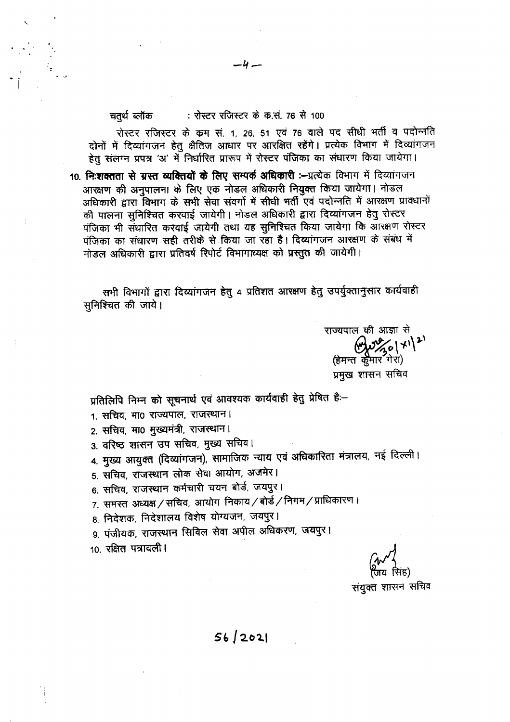#### : रोस्टर रजिस्टर के क.सं. 76 से 100 चतुर्थ ब्लॉक

रोस्टर रजिस्टर के कम सं. 1, 26, 51 एवं 76 वाले पद सीधी भर्ती व पदोन्नति दोनों में दिव्यांगजन हेतु क्षैतिज आधार पर आरक्षित रहेंगे। प्रत्येक विभाग में दिव्यांगजन हेतु संलग्न प्रपत्र 'अ' में निर्धारित प्रारूप में रोस्टर पंजिका का संधारण किया जायेगा।

-4 -

10. निःशक्तता से ग्रस्त व्यक्तियों के लिए सम्पर्क अधिकारी :--प्रत्येक विभाग में दिव्यांगजन आरक्षण की अनुपालना के लिए एक नोडल अधिकारी नियुक्त किया जायेगा। नोडल अधिकारी द्वारा विभाग के सभी सेवा संवर्गो में सीधी भर्ती एवं पदोन्नति में आरक्षण प्रावधानों की पालना सुनिश्चित करवाई जायेगी। नोडल अधिकारी द्वारा दिव्यांगजन हेतु रोस्टर पंजिका भी संधारित करवाई जायेगी तथा यह सुनिश्चित किया जायेगा कि आरक्षण रोस्टर पंजिका का संधारण सही तरीके से किया जा रहा है। दिव्यांगजन आरक्षण के संबंध में नोडल अधिकारी द्वारा प्रतिवर्ष रिपोर्ट विभागाध्यक्ष को प्रस्तुत की जायेगी।

सभी विभागों द्वारा दिव्यांगजन हेतु 4 प्रतिशत आरक्षण हेतु उपर्युक्तानुसार कार्यवाही सुनिश्चित की जाये।

राज्यपाल की आज्ञा से  $\mathbb{C}$   $\mathbb{Z}$   $\mathbb{Z}$   $\mathbb{Z}$   $\mathbb{Z}$   $\mathbb{Z}$   $\mathbb{Z}$   $\mathbb{Z}$   $\mathbb{Z}$   $\mathbb{Z}$   $\mathbb{Z}$   $\mathbb{Z}$   $\mathbb{Z}$   $\mathbb{Z}$   $\mathbb{Z}$   $\mathbb{Z}$   $\mathbb{Z}$   $\mathbb{Z}$   $\mathbb{Z}$   $\mathbb{Z}$   $\mathbb{Z}$   $\mathbb{Z}$   $\mathbb{Z}$   $\mathbb{Z}$   $\mathbb{$ (हेमन्त कुमार गेरा) प्रमुख शासन सचिव

प्रतिलिपि निम्न को सूचनार्थ एवं आवश्यक कार्यवाही हेतु प्रेषित है:-

- 1. सचिव, मा0 राज्यपाल, राजस्थान।
- 2. सचिव, मा0 मुख्यमंत्री, राजस्थान।
- 3. वरिष्ठ शासन उप सचिव, मुख्य सचिव।
- 4. मुख्य आयुक्त (दिव्यांगजन), सामाजिक न्याय एवं अधिकारिता मंत्रालय, नई दिल्ली।
- 5. सचिव, राजस्थान लोक सेवा आयोग, अजमेर।
- 6. सचिव, राजस्थान कर्मचारी चयन बोर्ड, जयपुर।
- 7. समस्त अध्यक्ष / सचिव, आयोग निकाय / बोर्ड / निगम / प्राधिकारण ।
- 8. निदेशक, निदेशालय विशेष योग्यजन, जयपुर।
- 9. पंजीयक, राजस्थान सिविल सेवा अपील अधिकरण, जयपुर।
- 10. रक्षित पत्रावली।

संयुक्त शासन सचिव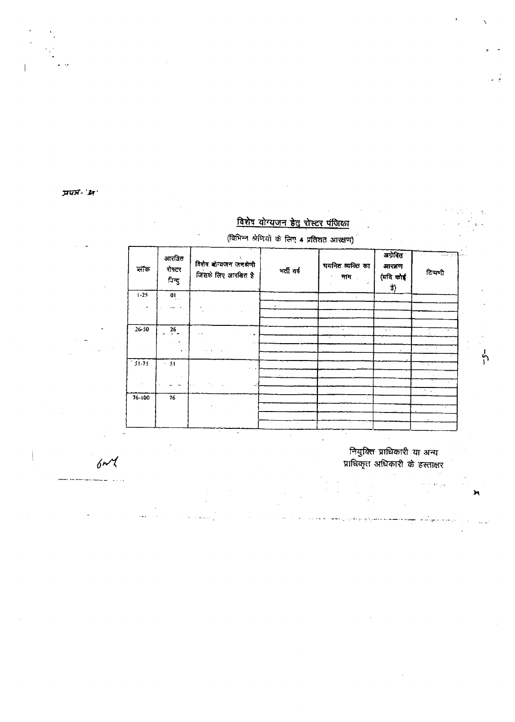प्रपत्र-'अ

#### (विभिन्न श्रेणियों के लिए 4 प्रतिशत आरक्षण) अग्रेबित आरक्षित .<br>विशेष बोग्यजन जनश्रेणी धयनित व्यक्ति का आरक्षण নাক रोस्टर भर्ती वर्ष टिप्पणी .<br>जिसके लिए आरबित है (यदि कोई नाम ।  $\epsilon$ निन्दु 訃)  $1 - 25$  $\overline{a}$  $\mathbf{L}$  $26 - 50$  $\frac{26}{1}$  $\ddot{\phantom{a}}$ L.  $\ddot{\phantom{0}}$  $\ddot{\phantom{0}}$  $\mathbb{Z}^2$  $\sim$   $\sim$  $\mathcal{A}$  $\frac{1}{1}$   $\frac{1}{1}$   $\frac{1}{1}$   $\frac{1}{1}$   $\frac{1}{1}$  $\overline{51}$  $\omega_{\rm c}$  ,  $\omega$ k.  $\ddot{\phantom{a}}$  $76 - 100$  $76$

विशेष योग्यजन हेतु रोस्टर पंजिका

 $6n<sup>4</sup>$ 

ंनियुक्ति प्राधिकारी या अन्य<br>प्राधिकृत अधिकारी के हस्ताक्षर

o ya

ပှိ

Ť6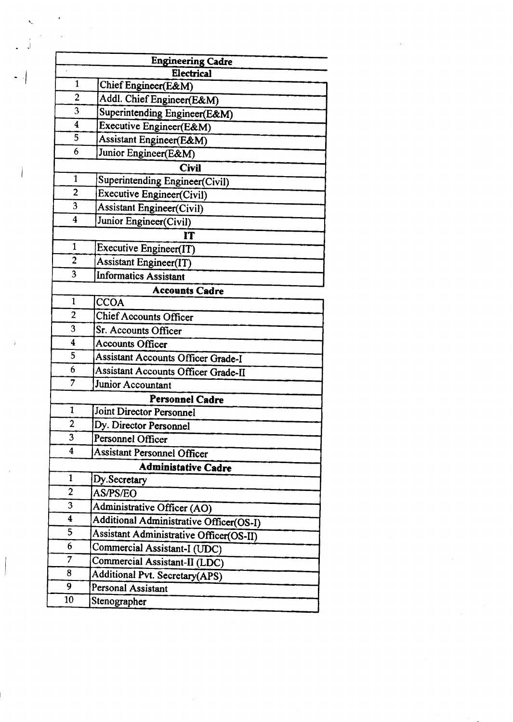|                              | <b>Engineering Cadre</b>                        |  |  |  |  |  |  |
|------------------------------|-------------------------------------------------|--|--|--|--|--|--|
| 1                            | Electrical                                      |  |  |  |  |  |  |
| $\overline{2}$               | Chief Engineer(E&M)                             |  |  |  |  |  |  |
| 3                            | Addl. Chief Engineer(E&M)                       |  |  |  |  |  |  |
| $\boldsymbol{4}$             | Superintending Engineer(E&M)                    |  |  |  |  |  |  |
| 5                            | Executive Engineer(E&M)                         |  |  |  |  |  |  |
| 6                            | Assistant Engineer(E&M)<br>Junior Engineer(E&M) |  |  |  |  |  |  |
|                              | <b>Civil</b>                                    |  |  |  |  |  |  |
| 1                            | Superintending Engineer(Civil)                  |  |  |  |  |  |  |
| $\overline{2}$               | <b>Executive Engineer(Civil)</b>                |  |  |  |  |  |  |
| 3                            | <b>Assistant Engineer(Civil)</b>                |  |  |  |  |  |  |
| $\overline{\mathbf{4}}$      |                                                 |  |  |  |  |  |  |
| Junior Engineer(Civil)<br>IT |                                                 |  |  |  |  |  |  |
| 1                            | Executive Engineer(IT)                          |  |  |  |  |  |  |
| $\overline{2}$               | <b>Assistant Engineer(IT)</b>                   |  |  |  |  |  |  |
| 3                            | <b>Informatics Assistant</b>                    |  |  |  |  |  |  |
|                              | <b>Accounts Cadre</b>                           |  |  |  |  |  |  |
| $\mathbf{1}$                 | <b>CCOA</b>                                     |  |  |  |  |  |  |
| $\overline{2}$               | <b>Chief Accounts Officer</b>                   |  |  |  |  |  |  |
| 3                            | Sr. Accounts Officer                            |  |  |  |  |  |  |
| 4                            | <b>Accounts Officer</b>                         |  |  |  |  |  |  |
| 5                            | <b>Assistant Accounts Officer Grade-I</b>       |  |  |  |  |  |  |
| 6                            | Assistant Accounts Officer Grade-II             |  |  |  |  |  |  |
| 7                            | Junior Accountant                               |  |  |  |  |  |  |
| <b>Personnel Cadre</b>       |                                                 |  |  |  |  |  |  |
| 1                            | <b>Joint Director Personnel</b>                 |  |  |  |  |  |  |
| $\overline{2}$               | Dy. Director Personnel                          |  |  |  |  |  |  |
| 3                            | Personnel Officer                               |  |  |  |  |  |  |
| $\boldsymbol{4}$             | <b>Assistant Personnel Officer</b>              |  |  |  |  |  |  |
| <b>Administative Cadre</b>   |                                                 |  |  |  |  |  |  |
| 1                            | Dy.Secretary                                    |  |  |  |  |  |  |
| $\overline{2}$               | AS/PS/EO                                        |  |  |  |  |  |  |
| 3                            | Administrative Officer (AO)                     |  |  |  |  |  |  |
| 4                            | Additional Administrative Officer(OS-I)         |  |  |  |  |  |  |
| 5                            | Assistant Administrative Officer(OS-II)         |  |  |  |  |  |  |
| 6                            | Commercial Assistant-I (UDC)                    |  |  |  |  |  |  |
| 7                            | Commercial Assistant-II (LDC)                   |  |  |  |  |  |  |
| 8                            | Additional Pvt. Secretary(APS)                  |  |  |  |  |  |  |
| 9                            | Personal Assistant                              |  |  |  |  |  |  |
| 10                           | Stenographer                                    |  |  |  |  |  |  |

 $\label{eq:2.1} \frac{1}{2} \sum_{i=1}^n \frac{1}{2} \sum_{j=1}^n \frac{1}{2} \sum_{j=1}^n \frac{1}{2} \sum_{j=1}^n \frac{1}{2} \sum_{j=1}^n \frac{1}{2} \sum_{j=1}^n \frac{1}{2} \sum_{j=1}^n \frac{1}{2} \sum_{j=1}^n \frac{1}{2} \sum_{j=1}^n \frac{1}{2} \sum_{j=1}^n \frac{1}{2} \sum_{j=1}^n \frac{1}{2} \sum_{j=1}^n \frac{1}{2} \sum_{j=1}^n \frac{$ 

 $\label{eq:2} \frac{1}{\sqrt{2}}\left(\frac{1}{\sqrt{2}}\right)^2\frac{1}{\sqrt{2}}\left(\frac{1}{\sqrt{2}}\right)^2.$ 

 $\bar{\mathbf{v}}$ 

 $\sim 10^6$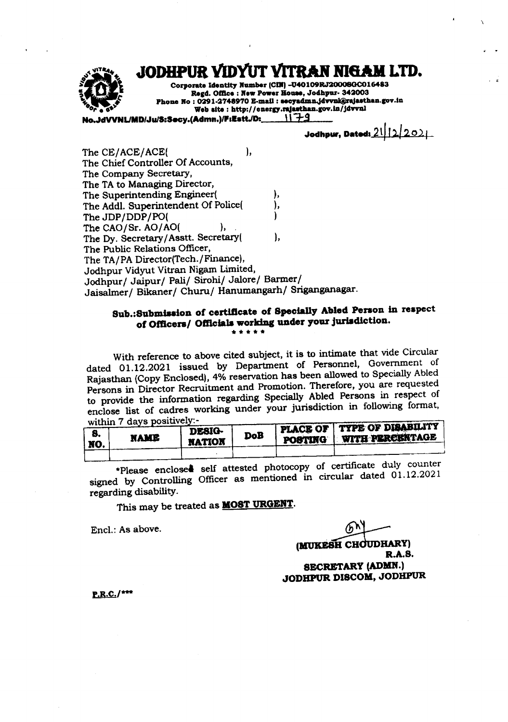JODHPUR VIDYUT VITRAN NIGAM LTD.



Corporate Identity Number (CIN) -U40109RJ20008GC016483 Regd. Office: New Power House, Jodhpur- 342003 Phone No: 0291-2748970 E-mail: secyadmn.jdvvni@rajasthan.gov.in Web site: http://energy.rajasthan.gov.in/jdvvnl

VNL/MD/Ju/S:Secy.(Admn.)/F:Estt./D:\_ ハチタ

Jodhpur, Dated:  $21/22021$ 

The CE/ACE/ACE( ), The Chief Controller Of Accounts. The Company Secretary, The TA to Managing Director, The Superintending Engineer( The Addl. Superintendent Of Police( The JDP/DDP/PO( The CAO/Sr. AO/AO( ۱. The Dy. Secretary/Asstt. Secretary( ١. The Public Relations Officer, The TA/PA Director(Tech./Finance), Jodhpur Vidyut Vitran Nigam Limited, Jodhpur/ Jaipur/ Pali/ Sirohi/ Jalore/ Barmer/ Jaisalmer/ Bikaner/ Churu/ Hanumangarh/ Sriganganagar.

## Sub.:Submission of certificate of Specially Abled Person in respect of Officers/ Officials working under your jurisdiction. -----

With reference to above cited subject, it is to intimate that vide Circular dated 01.12.2021 issued by Department of Personnel, Government of Rajasthan (Copy Enclosed), 4% reservation has been allowed to Specially Abled Persons in Director Recruitment and Promotion. Therefore, you are requested to provide the information regarding Specially Abled Persons in respect of enclose list of cadres working under your jurisdiction in following format, within 7 days positively:-

| <br>NO. | <b>NAME</b> | <b>DESIG-</b><br><b>NATION</b> | DoB | PLACE OF TYPE OF DISABILITY<br>POSTING WITH PERCENTAGE |
|---------|-------------|--------------------------------|-----|--------------------------------------------------------|
|         |             |                                |     |                                                        |

\*Please enclosed self attested photocopy of certificate duly counter signed by Controlling Officer as mentioned in circular dated 01.12.2021 regarding disability.

This may be treated as **MOST URGENT**.

Encl.: As above.

(MUKESH CHOUDHARY) R.A.S. **SECRETARY (ADMN.)** JODHPUR DISCOM, JODHPUR

 $P.R.C.$ /\*\*\*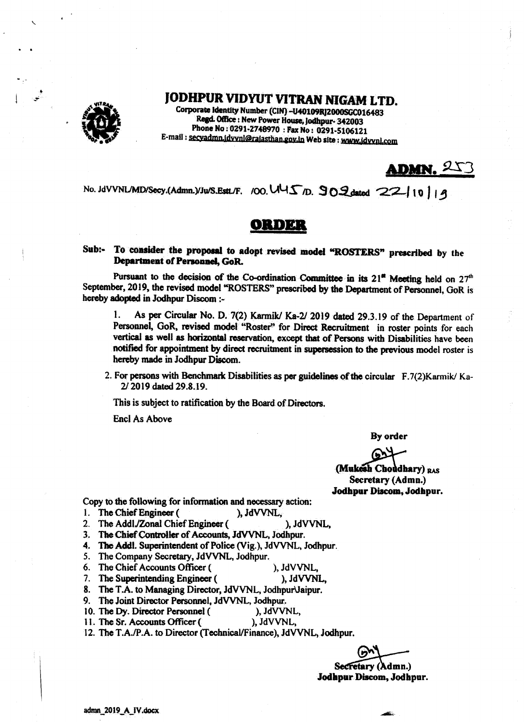

# JODHPUR VIDYUT VITRAN NIGAM LTD.

Corporate Identity Number (CIN) -U40109RJ2000SGC016483 Regd. Office : New Power House, Jodhpur-342003 Phone No: 0291-2748970: Fax No: 0291-5106121 E-mail : secyadmn.idvvnl@rajasthan.gov.in Web site : www.idvvnl.com

ADMN. 253

No. JdVVNLMD/Secy.(Admn.)/Ju/S.EstL/F. /OO. UUS D. 902 dated 22110119

# $\mathbf{A}(\mathbf{A})$  of  $\mathbf{A}$

#### To consider the proposal to adopt revised model "ROSTERS" prescribed by the Sub:-Department of Personnel, GoR.

Pursuant to the decision of the Co-ordination Committee in its  $21<sup>4</sup>$  Meeting held on  $27<sup>th</sup>$ September, 2019, the revised model "ROSTERS" prescribed by the Department of Personnel, GoR is hereby adopted in Jodhpur Discom :-

1. As per Circular No. D. 7(2) Karmik/ Ka-2/ 2019 dated 29.3.19 of the Department of Personnel, GoR, revised model "Roster" for Direct Recruitment in roster points for each vertical as well as horizontal reservation, except that of Persons with Disabilities have been notified for appointment by direct recruitment in supersession to the previous model roster is hereby made in Jodhpur Discom.

2. For persons with Benchmark Disabilities as per guidelines of the circular F.7(2) Karmik/Ka-2/2019 dated 29.8.19.

This is subject to ratification by the Board of Directors.

**Encl As Above** 

By order

(Mukesh Choudhary) RAS Secretary (Admn.) Jodhpur Discom, Jodhpur.

Copy to the following for information and necessary action:

- 1. The Chief Engineer ( ), JdVVNL.
- 2. The Addl./Zonal Chief Engineer ( ), JdVVNL,

3. The Chief Controller of Accounts, JdVVNL, Jodhpur.

- 4. The Addl. Superintendent of Police (Vig.), JdVVNL, Jodhpur.
- 5. The Company Secretary, JdVVNL, Jodhpur.
- 6. The Chief Accounts Officer ( ), JdVVNL,
- 7. The Superintending Engineer ( ), JdVVNL,

8. The T.A. to Managing Director, JdVVNL, Jodhpur Jaipur.

- 9. The Joint Director Personnel, JdVVNL, Jodhpur.
- 10. The Dy. Director Personnel ( ), JdVVNL.
- 11. The Sr. Accounts Officer ( ), JdVVNL,

12. The T.A./P.A. to Director (Technical/Finance), JdVVNL, Jodhpur.

Secretary (Admn.) Jodhpur Discom, Jodhpur.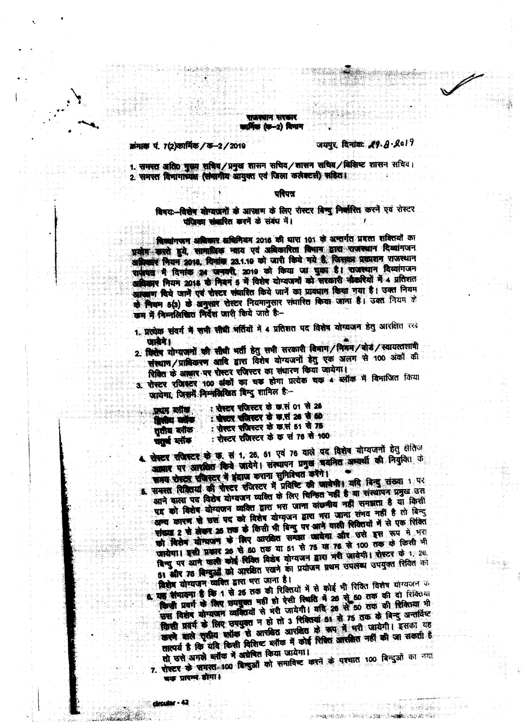#### राजस्थान सरकार कानिक (क–2) दिनाम

#### क्रमाक पं. 7(2)कार्मिक / क-2 / 2019

### जयपुर, दिनांक:  $29.8.8017$

1. समस्त अति0 मुख्य सचिव/प्रमुख शासन सचिव/शासन सचिव/विशिष्ट शासन सचिव। 2. समस्त विभागाध्यक्ष (समागीय आयुक्त एवं जिला कलेक्टसी) सहिता

#### परिपत्र

## विषय-विशेष योग्यजनों के आरक्षण के लिए रोस्टर बिन्दु निर्वारित करने एवं रोस्टर पंजिका संबारित करने के संबंध में।

विष्यांगजन अधिकार अधिनियम 2016 की धारा 101 के अन्तर्गत प्रदत्त शक्तियों का प्रयोग करते हुये, सामाधिक न्याय एवं अविकारिता विभाग द्वारा राजस्थान दिव्यांगजन अग्निकार नियम 2018, दिनांक 23.1.19 को जारी किये गये हैं, जिसका प्रकाशन राजस्थान सफ़ेयद में दिनांक 24 जनवरी, 2019 को किया जा चुका है। राजस्थान दिव्यांगजन अत्रिकार नियम 2018 के नियम 5 में विशेष योग्यजनों को सरकारी नौकरियों में 4 प्रतिशत आरक्षाण दिये जाने एवं शेस्टर संवारित किये जानें का प्रावधान किया गया है। उक्त नियम के नियम 5(3) के अनुसार रोस्टर नियमानुसार संचारित किया जाना है। उक्त नियम के कम में निम्नलिखित निर्देश जारी किये जाते हैं-

- 1. प्रत्येक संवर्ग में सभी सीधी मर्तियों में 4 प्रतिशत पद विशेष योग्यजन हेतु आरक्षित रखे जाबेने।
- 2. विशेष योग्यजनों की सीधी भर्ती हेतु सभी सरकारी विमाग/मिगम/बोर / स्वायत्तशामी संस्थान/प्राधिकरण आदि द्वारा विरोध योग्यजनों हेतु एक अलग से 100 अंकों की शिखित के आसार पर रोस्टर रजिस्टर का संधारण किया जायेगा।
- 3. पोस्टर एजिस्टर 100 अंको का चक होगा प्रत्येक चक 4 ब्लॉक में विभाजित किया जायेगा, जिसमें निम्नलिखित बिन्दु शामिल है -

| प्राप्तम स्वीक | : प्रोक्टर प्रजिस्टर के क्र.सं 01 से 26 |  |
|----------------|-----------------------------------------|--|
|                | : सेस्टर समित्त्वर के क्रम 26 से 60     |  |
| पितीय यांकि    | : पोस्टर संजिस्टर के कार्स 51 से 75     |  |
| तुतीब कोक      | : रोस्टर रजिस्टर के क सं 76 से 100      |  |
| যনৰ লাক        |                                         |  |

4. सेस्टर रजिस्टर के छ सं 1, 26, 51 एवं 76 वाले पद विशेष योग्यजनों हेतु क्षेतिज अल्लाह पर आधुतित किये आयेगे। संस्थापन प्रमुख अवनित अध्यर्थी की नियुक्ति के समय रोस्टर संजिस्टर में इंद्राज कराना सुनिश्चित करेंगे।

5. समस्त सिक्रियां की पोस्टर रजिस्टर में प्रविष्टि की जाबेमी। यदि विन्दु संख्या 1 पर आने वाला पद विशेष योग्यजन व्यक्ति के लिए चिन्हित नहीं है या संस्थापन प्रमुख उस पद को विशेष योग्यजन व्यक्ति द्वारा भरा जाना वांछनीय नहीं समझता है याँ किसी आन्य कारण से स्रश पद को विशेष योग्यूजन द्वारा भया जाना संभव नहीं है तो बिन्दु मांख्या 2 से लेखन 25 तक के किसी भी बिन्दु पर आने वाली रिक्तियों में से एक रिक्ति को विशेष योग्यालय के लिए आरक्षित समझा जायेगा और उसे इस रूप में भरा खायेगा। इसी प्रकार 26 से 50 तक या 51 से 75 या 76 से 100 तक के किसी भी विन्दु पर आने वाली कोई शिक्षित विशेष योग्यजन द्वारा भरी जायेगी। शेस्टर के 1.26, 51 और 76 बिन्दुओं को आरक्षित रखने का प्रयोजन प्रथम उपलब्ध उपयुक्त रिवित को विशेष योग्यजन व्यक्ति द्वारा भरा जाना है।

यह लेनावना है कि 1 से 26 तक की रिवितयों में से कोई भी रिवित विशेष योग्यजन के किसी प्रवर्ग के लिए समयुक्त नहीं हो ऐसी रिवरि में 26 से 50 तक की दो सिक्तिया सम् विशेष योग्याजन व्यक्तियों से भरी जायेगी। यदि 26 से 50 तक की सिकितमा भी किसी प्रवर्ग के लिए उपयुक्त न हो तो 3 रिक्तियां 51 से 75 तक के बिन्दु अन्तर्विष्ट करने वाले तृतीय स्वीक से आरबित आरबित के रूप में भरी जायेगी। इसका यह तात्पर्य है कि यदि किसी विशिष्ट ब्लॉक में कोई रिबित आरक्षित नहीं की जा सकती है

तो उसे अगले ब्लॉक में अग्रेबित किया जायेगा। 7. रोस्टर के समस्त-100 बिन्दुओं को समाविष्ट करने के पश्चात 100 बिन्दुओं का नया चक प्रारम्भ डोगा।

ZATIONS WARE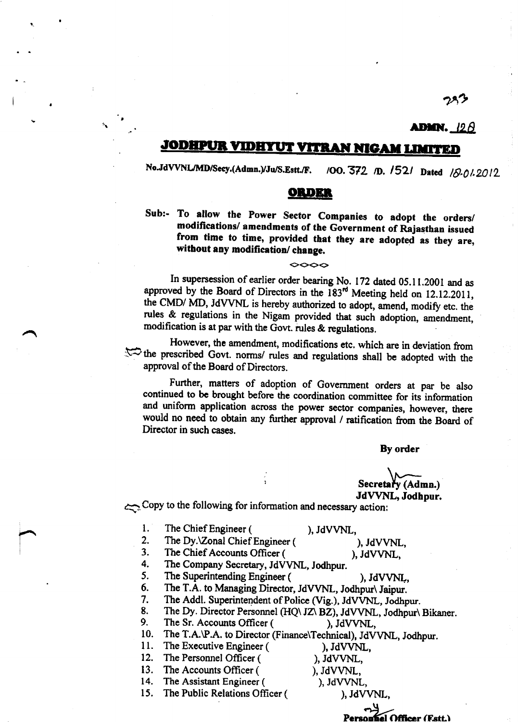# **admn.** 125

 $75$ 

#### **JODHPUR** <u>ITRAN NIGAM LIMITED</u>

No.JdVVNL/MD/Secy.(Admn.)/Ju/S.Estt./F. /OO. 372 /D. 1521 Dated  $18.012012$ 

## ORDER

Sub:- To allow the Power Sector Companies to adopt the orders/<br>modifications/ amendments of the Government of Rajasthan issued from time to time, provided that they are adopted as they are, without any modification/ change.

 $\infty$ 

In supersession of earlier order bearing No. 172 dated 05.11.2001 and as approved by the Board of Directors in the  $183<sup>rd</sup>$  Meeting held on 12.12.2011, the CMD/ MD, JdVVNL is hereby authorized to adopt, amend, modify etc. the rules & regulations in the Nigam provided that such adoption, amendment, modification is at par with the Govt. rules & regulations

However, the amendment, modifications etc. which are in deviation from  $\lesssim$  the prescribed Govt. norms/ rules and regulations shall be adopted with the approval of the Board of Directors.

Further, matters of adoption of Government orders at par be also continued to be brought before the coordination committee for its information and uniform application across the power sector companies, however, there would no need to obtain any further approval / ratification from the Board of Director in such cases.

By order

Secretary (Admn.) JdWNL, Jodhpur.

+.Copy to the following for information and necessary action:

tt

 $\overline{\phantom{1}}$ 

- -
- 
- 
- 
- 
- 1. The Chief Engineer (Capital AVVNL,<br>
2. The Dy.\Zonal Chief Engineer (Capital AVVNL,<br>
3. The Chief Accounts Officer (Capital AVVNL,<br>
4. The Company Secretary, JdVVNL, Jodhpur.<br>
5. The Superintending Engineer (Capital AVV
- 
- 9. The Sr. Accounts Officer (except), JdVVNL,<br>10. The T.A.\P.A. to Director (Finance\Technical), JdVVNL, Jodhpur.<br>11. The Executive Engineer (except) IdVVNI.
- 11. The Executive Engineer (
1. The Personnel Officer (
1. IdVVNI
- 12. The Personnel Officer (
13. The Accounts Officer (
13. The Accounts Officer (
13. The Accounts Officer (
15. 1990), JdVVNL,
- 

13. The Accounts Officer (
14. The Assistant Engineer (
14. The Assistant Engineer (
15. 1991), JdVVNL,

14. The Assistant Engineer (
15. The Public Relations Officer (
15. The Public Relations Officer (
15. The Public Relations Officer (
15. The Public Relations Officer (
15. The Public Relations Officer (
15. The Public Rel The Public Relations Officer (

- 
- 

Officer (F.stt.)